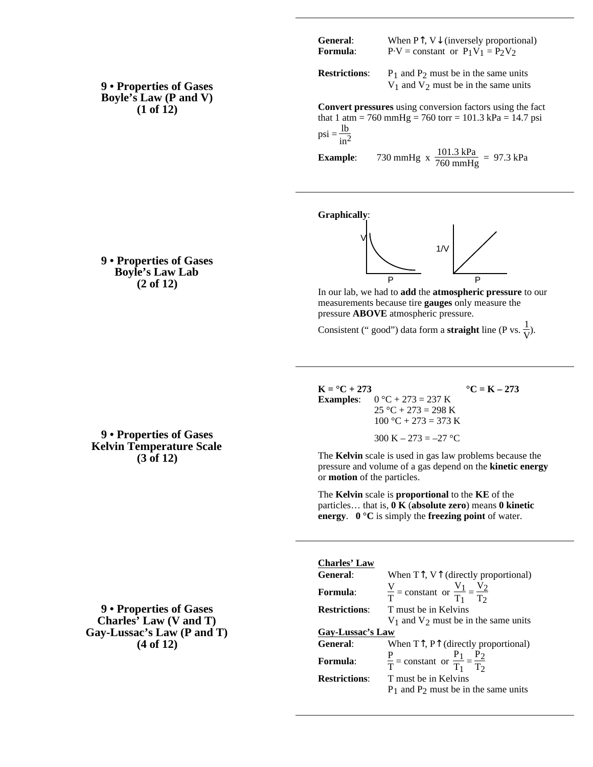| 9 • Properties of Gases      |
|------------------------------|
| <b>Boyle's Law (P and V)</b> |
| $(1 \text{ of } 12)$         |

| <b>General:</b> | When $P$ , $V$ (inversely proportional) |
|-----------------|-----------------------------------------|
| Formula:        | $P-V = constant$ or $P_1V_1 = P_2V_2$   |

**Restrictions:**  $P_1$  and  $P_2$  must be in the same units  $V_1$  and  $V_2$  must be in the same units

**Convert pressures** using conversion factors using the fact that 1 atm = 760 mmHg = 760 torr = 101.3 kPa = 14.7 psi  $psi = \frac{1b}{in^2}$ 

**Example**: 730 mmHg x  $\frac{101.3 \text{ kPa}}{760 \text{ mmHg}} = 97.3 \text{ kPa}$ 

**Graphically**:



In our lab, we had to **add** the **atmospheric pressure** to our measurements because tire **gauges** only measure the pressure **ABOVE** atmospheric pressure.

Consistent (" good") data form a **straight** line (P vs.  $\frac{1}{V}$ ).

 $K = {}^{\circ}C + 273$  **°C** = K – 273 **Examples:**  $0 °C + 273 = 237 K$  $25 °C + 273 = 298 K$  $100 °C + 273 = 373 K$ 300 K – 273 = –27 °C

The **Kelvin** scale is used in gas law problems because the pressure and volume of a gas depend on the **kinetic energy** or **motion** of the particles.

The **Kelvin** scale is **proportional** to the **KE** of the particles… that is, **0 K** (**absolute zero**) means **0 kinetic energy**. **0 °C** is simply the **freezing point** of water.

**9 • Properties of Gases Charles' Law (V and T) Gay-Lussac's Law (P and T) (4 of 12)**

# **9 • Properties of Gases Kelvin Temperature Scale (3 of 12)**

#### **Charles' Law** General: When T, V (directly proportional) **Formula**: V  $\frac{V}{T}$  = constant or  $\frac{V_1}{T_1}$

| <b>Formula:</b>      | $\frac{V}{T}$ = constant or $\frac{V_1}{T_1} = \frac{V_2}{T_2}$ |
|----------------------|-----------------------------------------------------------------|
| <b>Restrictions:</b> | T must be in Kelvins                                            |
|                      | $V_1$ and $V_2$ must be in the same units                       |
| Gay-Lussac's Law     |                                                                 |
| <b>General:</b>      | When $T$ , $P$ (directly proportional)                          |
| <b>Formula:</b>      | $\frac{P}{T}$ = constant or $\frac{P_1}{T_1} = \frac{P_2}{T_2}$ |
| <b>Restrictions:</b> | T must be in Kelvins                                            |
|                      | $P_1$ and $P_2$ must be in the same units                       |

**9 • Properties of Gases Boyle's Law Lab (2 of 12)**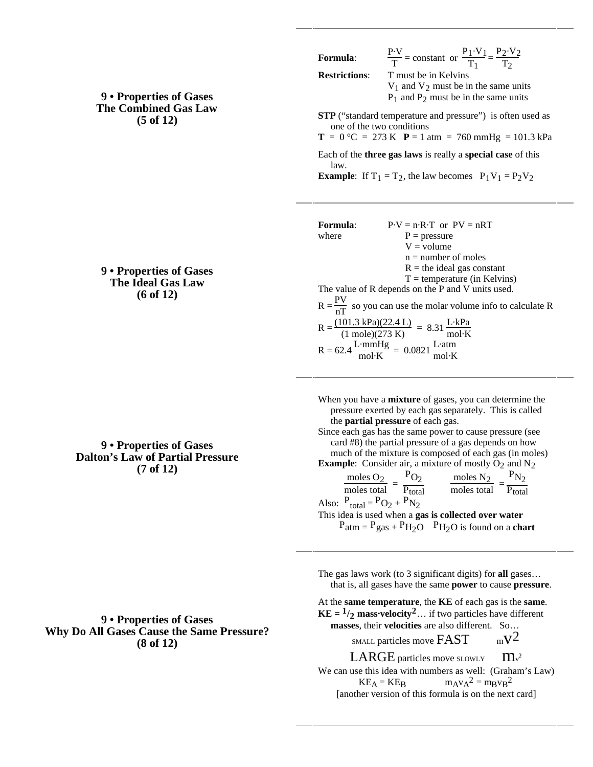## **9 • Properties of Gases The Combined Gas Law (5 of 12)**

### **9 • Properties of Gases The Ideal Gas Law (6 of 12)**

# **9 • Properties of Gases Dalton's Law of Partial Pressure (7 of 12)**

## **9 • Properties of Gases Why Do All Gases Cause the Same Pressure? (8 of 12)**

$$
\frac{P\cdot V}{T} = \text{constant} \text{ or } \frac{P_1 \cdot V_1}{T_1} = \frac{P_2 \cdot V_2}{T_2}
$$

**Restrictions**: T must be in Kelvins

 $V_1$  and  $V_2$  must be in the same units  $P_1$  and  $P_2$  must be in the same units

**STP** ("standard temperature and pressure") is often used as one of the two conditions

 $T = 0$  °C = 273 K  $P = 1$  atm = 760 mmHg = 101.3 kPa

Each of the **three gas laws** is really a **special case** of this law.

**Example**: If  $T_1 = T_2$ , the law becomes  $P_1V_1 = P_2V_2$ 

| Formula: | $P-V = n \cdot R \cdot T$ or $PV = nRT$                                                                                                              |
|----------|------------------------------------------------------------------------------------------------------------------------------------------------------|
| where    | $P = pressure$                                                                                                                                       |
|          | $V = volume$                                                                                                                                         |
|          | $n =$ number of moles                                                                                                                                |
|          | $R =$ the ideal gas constant                                                                                                                         |
|          | $T =$ temperature (in Kelvins)                                                                                                                       |
|          | The value of R depends on the P and V units used.                                                                                                    |
|          | $R = \frac{PV}{nT}$ so you can use the molar volume info to calculate R                                                                              |
|          | $R = \frac{(101.3 \text{ kPa})(22.4 \text{ L})}{(1 \text{ mole})(273 \text{ K})} = 8.31 \frac{\text{L} \cdot \text{kPa}}{\text{mol} \cdot \text{K}}$ |
|          | $R = 62.4 \frac{L \cdot mmHg}{mol \cdot K} = 0.0821 \frac{L \cdot atm}{mol \cdot K}$                                                                 |
|          |                                                                                                                                                      |

When you have a **mixture** of gases, you can determine the pressure exerted by each gas separately. This is called the **partial pressure** of each gas.

Since each gas has the same power to cause pressure (see card #8) the partial pressure of a gas depends on how much of the mixture is composed of each gas (in moles)

**Example:** Consider air, a mixture of mostly  $O_2$  and  $N_2$ <br>moles  $O_2$   $P_{O_2}$  moles  $N_2$   $P_{N_2}$  $\frac{\text{moles O}_2}{\text{moles total}}$  =  $P_{O_2}$  $\overline{P_{total}}$  $\frac{\text{moles N}_2}{\text{moles total}}$ =  $P_{N_2}$ P<sub>total</sub> Also:  $P_{total} = PQ_2 + P_{N_2}$ This idea is used when a **gas is collected over water**  $P_{\text{atm}} = P_{\text{gas}} + P_{\text{H}_2\text{O}}$   $P_{\text{H}_2\text{O}}$  is found on a **chart** 

The gas laws work (to 3 significant digits) for **all** gases… that is, all gases have the same **power** to cause **pressure**.

At the **same temperature**, the **KE** of each gas is the **same**. **KE** =  $\frac{1}{2}$  **mass** velocity<sup>2</sup>... if two particles have different **masses**, their **velocities** are also different. So… SMALL particles move  $FAST \t mV^2$ LARGE particles move SLOWLY  $\mathbf{m}$ <sup>2</sup>

We can use this idea with numbers as well: (Graham's Law)  $KE_A = KE_B$   $m_A v_A^2 = m_B v_B^2$ [another version of this formula is on the next card]